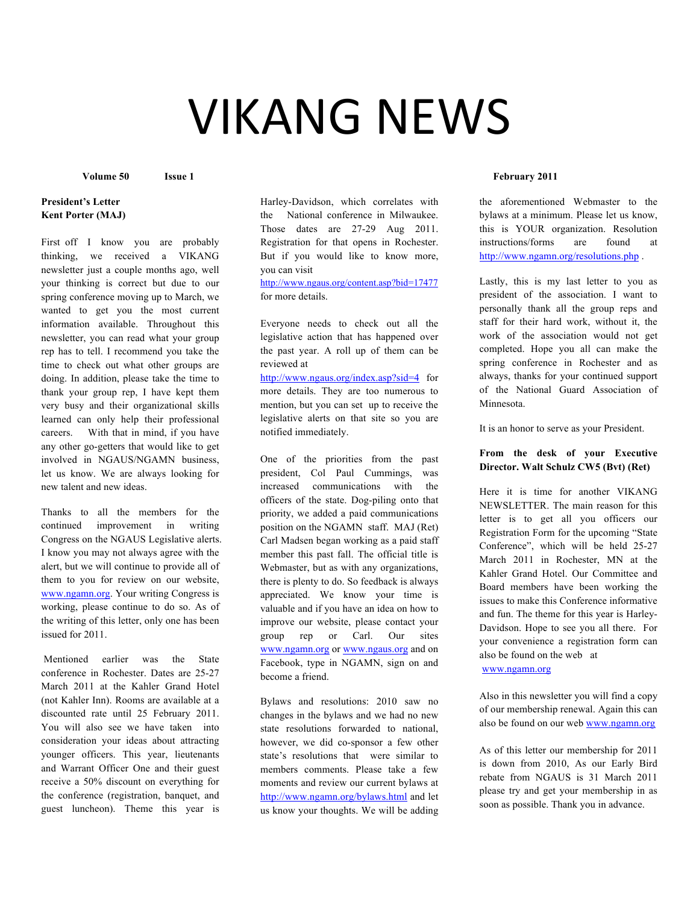# **VIKANG NEWS**

# **President's Letter Kent Porter (MAJ)**

First off I know you are probably thinking, we received a VIKANG newsletter just a couple months ago, well your thinking is correct but due to our spring conference moving up to March, we wanted to get you the most current information available. Throughout this newsletter, you can read what your group rep has to tell. I recommend you take the time to check out what other groups are doing. In addition, please take the time to thank your group rep, I have kept them very busy and their organizational skills learned can only help their professional careers. With that in mind, if you have any other go-getters that would like to get involved in NGAUS/NGAMN business, let us know. We are always looking for new talent and new ideas.

Thanks to all the members for the continued improvement in writing Congress on the NGAUS Legislative alerts. I know you may not always agree with the alert, but we will continue to provide all of them to you for review on our website, www.ngamn.org. Your writing Congress is working, please continue to do so. As of the writing of this letter, only one has been issued for 2011.

Mentioned earlier was the State conference in Rochester. Dates are 25-27 March 2011 at the Kahler Grand Hotel (not Kahler Inn). Rooms are available at a discounted rate until 25 February 2011. You will also see we have taken into consideration your ideas about attracting younger officers. This year, lieutenants and Warrant Officer One and their guest receive a 50% discount on everything for the conference (registration, banquet, and guest luncheon). Theme this year is

Harley-Davidson, which correlates with the National conference in Milwaukee. Those dates are 27-29 Aug 2011. Registration for that opens in Rochester. But if you would like to know more, you can visit

http://www.ngaus.org/content.asp?bid=17477 for more details.

Everyone needs to check out all the legislative action that has happened over the past year. A roll up of them can be reviewed at

http://www.ngaus.org/index.asp?sid=4 for more details. They are too numerous to mention, but you can set up to receive the legislative alerts on that site so you are notified immediately.

One of the priorities from the past president, Col Paul Cummings, was increased communications with the officers of the state. Dog-piling onto that priority, we added a paid communications position on the NGAMN staff. MAJ (Ret) Carl Madsen began working as a paid staff member this past fall. The official title is Webmaster, but as with any organizations, there is plenty to do. So feedback is always appreciated. We know your time is valuable and if you have an idea on how to improve our website, please contact your group rep or Carl. Our sites www.ngamn.org or www.ngaus.org and on Facebook, type in NGAMN, sign on and become a friend.

Bylaws and resolutions: 2010 saw no changes in the bylaws and we had no new state resolutions forwarded to national, however, we did co-sponsor a few other state's resolutions that were similar to members comments. Please take a few moments and review our current bylaws at http://www.ngamn.org/bylaws.html and let us know your thoughts. We will be adding

## **Volume 50 Issue 1 February 2011**

the aforementioned Webmaster to the bylaws at a minimum. Please let us know, this is YOUR organization. Resolution instructions/forms are found at http://www.ngamn.org/resolutions.php .

Lastly, this is my last letter to you as president of the association. I want to personally thank all the group reps and staff for their hard work, without it, the work of the association would not get completed. Hope you all can make the spring conference in Rochester and as always, thanks for your continued support of the National Guard Association of Minnesota.

It is an honor to serve as your President.

# **From the desk of your Executive Director. Walt Schulz CW5 (Bvt) (Ret)**

Here it is time for another VIKANG NEWSLETTER. The main reason for this letter is to get all you officers our Registration Form for the upcoming "State Conference", which will be held 25-27 March 2011 in Rochester, MN at the Kahler Grand Hotel. Our Committee and Board members have been working the issues to make this Conference informative and fun. The theme for this year is Harley-Davidson. Hope to see you all there. For your convenience a registration form can also be found on the web at

www.ngamn.org

Also in this newsletter you will find a copy of our membership renewal. Again this can also be found on our web www.ngamn.org

As of this letter our membership for 2011 is down from 2010, As our Early Bird rebate from NGAUS is 31 March 2011 please try and get your membership in as soon as possible. Thank you in advance.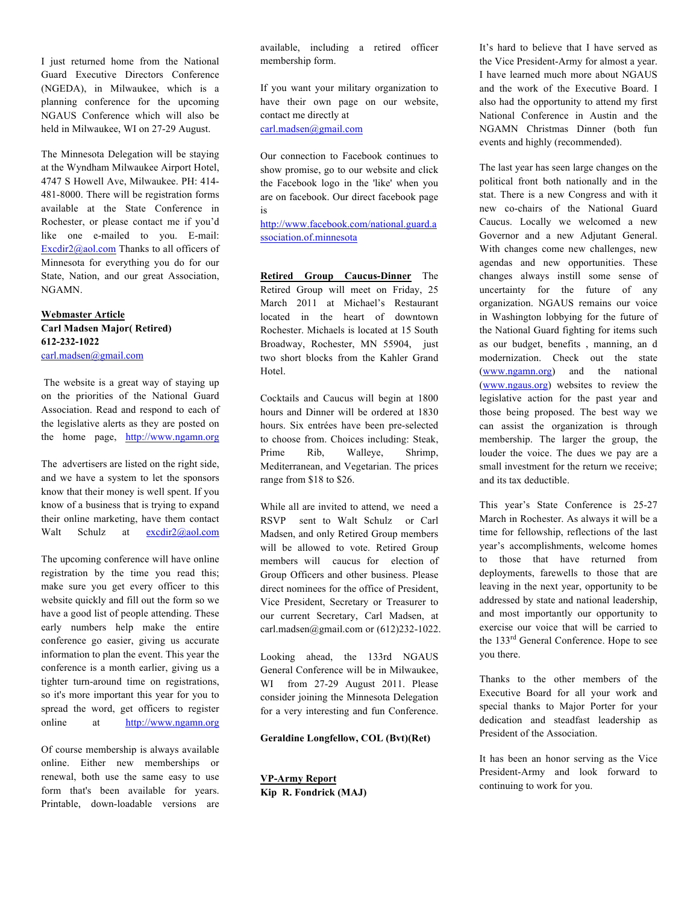I just returned home from the National Guard Executive Directors Conference (NGEDA), in Milwaukee, which is a planning conference for the upcoming NGAUS Conference which will also be held in Milwaukee, WI on 27-29 August.

The Minnesota Delegation will be staying at the Wyndham Milwaukee Airport Hotel, 4747 S Howell Ave, Milwaukee. PH: 414- 481-8000. There will be registration forms available at the State Conference in Rochester, or please contact me if you'd like one e-mailed to you. E-mail: Excdir2@aol.com Thanks to all officers of Minnesota for everything you do for our State, Nation, and our great Association, NGAMN.

## **Webmaster Article Carl Madsen Major( Retired) 612-232-1022** carl.madsen@gmail.com

The website is a great way of staying up on the priorities of the National Guard Association. Read and respond to each of the legislative alerts as they are posted on the home page, http://www.ngamn.org

The advertisers are listed on the right side, and we have a system to let the sponsors know that their money is well spent. If you know of a business that is trying to expand their online marketing, have them contact Walt Schulz at excdir2@aol.com

The upcoming conference will have online registration by the time you read this; make sure you get every officer to this website quickly and fill out the form so we have a good list of people attending. These early numbers help make the entire conference go easier, giving us accurate information to plan the event. This year the conference is a month earlier, giving us a tighter turn-around time on registrations, so it's more important this year for you to spread the word, get officers to register online at http://www.ngamn.org

Of course membership is always available online. Either new memberships or renewal, both use the same easy to use form that's been available for years. Printable, down-loadable versions are available, including a retired officer membership form.

If you want your military organization to have their own page on our website, contact me directly at carl.madsen@gmail.com

Our connection to Facebook continues to show promise, go to our website and click the Facebook logo in the 'like' when you are on facebook. Our direct facebook page is

http://www.facebook.com/national.guard.a ssociation.of.minnesota

**Retired Group Caucus-Dinner** The Retired Group will meet on Friday, 25 March 2011 at Michael's Restaurant located in the heart of downtown Rochester. Michaels is located at 15 South Broadway, Rochester, MN 55904, just two short blocks from the Kahler Grand Hotel.

Cocktails and Caucus will begin at 1800 hours and Dinner will be ordered at 1830 hours. Six entrées have been pre-selected to choose from. Choices including: Steak, Prime Rib, Walleye, Shrimp, Mediterranean, and Vegetarian. The prices range from \$18 to \$26.

While all are invited to attend, we need a RSVP sent to Walt Schulz or Carl Madsen, and only Retired Group members will be allowed to vote. Retired Group members will caucus for election of Group Officers and other business. Please direct nominees for the office of President, Vice President, Secretary or Treasurer to our current Secretary, Carl Madsen, at carl.madsen@gmail.com or (612)232-1022.

Looking ahead, the 133rd NGAUS General Conference will be in Milwaukee, WI from 27-29 August 2011. Please consider joining the Minnesota Delegation for a very interesting and fun Conference.

## **Geraldine Longfellow, COL (Bvt)(Ret)**

**VP-Army Report Kip R. Fondrick (MAJ)** It's hard to believe that I have served as the Vice President-Army for almost a year. I have learned much more about NGAUS and the work of the Executive Board. I also had the opportunity to attend my first National Conference in Austin and the NGAMN Christmas Dinner (both fun events and highly (recommended).

The last year has seen large changes on the political front both nationally and in the stat. There is a new Congress and with it new co-chairs of the National Guard Caucus. Locally we welcomed a new Governor and a new Adjutant General. With changes come new challenges, new agendas and new opportunities. These changes always instill some sense of uncertainty for the future of any organization. NGAUS remains our voice in Washington lobbying for the future of the National Guard fighting for items such as our budget, benefits , manning, an d modernization. Check out the state (www.ngamn.org) and the national (www.ngaus.org) websites to review the legislative action for the past year and those being proposed. The best way we can assist the organization is through membership. The larger the group, the louder the voice. The dues we pay are a small investment for the return we receive; and its tax deductible.

This year's State Conference is 25-27 March in Rochester. As always it will be a time for fellowship, reflections of the last year's accomplishments, welcome homes to those that have returned from deployments, farewells to those that are leaving in the next year, opportunity to be addressed by state and national leadership, and most importantly our opportunity to exercise our voice that will be carried to the 133<sup>rd</sup> General Conference. Hope to see you there.

Thanks to the other members of the Executive Board for all your work and special thanks to Major Porter for your dedication and steadfast leadership as President of the Association.

It has been an honor serving as the Vice President-Army and look forward to continuing to work for you.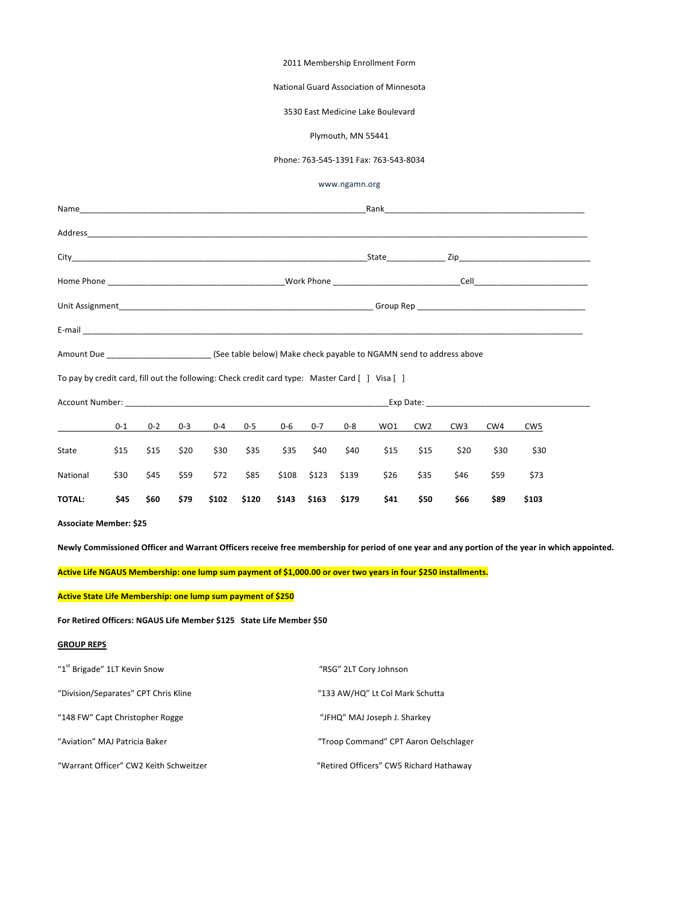## 2011 Membership Enrollment Form

## National Guard Association of Minnesota

## 3530 East Medicine Lake Boulevard

#### Plymouth, MN 55441

## Phone: 763-545-1391 Fax: 763-543-8034

www.ngamn.org

|                                                                                               |         | Rank<br>the control of the control of the control of the control of the control of the control of |                                                                                                                                                                                                                               |       |         |         |                   |       |      |                 |                 |      |                                                                                                                                                |  |
|-----------------------------------------------------------------------------------------------|---------|---------------------------------------------------------------------------------------------------|-------------------------------------------------------------------------------------------------------------------------------------------------------------------------------------------------------------------------------|-------|---------|---------|-------------------|-------|------|-----------------|-----------------|------|------------------------------------------------------------------------------------------------------------------------------------------------|--|
|                                                                                               |         |                                                                                                   |                                                                                                                                                                                                                               |       |         |         |                   |       |      |                 |                 |      |                                                                                                                                                |  |
|                                                                                               |         |                                                                                                   |                                                                                                                                                                                                                               |       |         |         |                   |       |      |                 |                 |      |                                                                                                                                                |  |
|                                                                                               |         |                                                                                                   |                                                                                                                                                                                                                               |       |         |         |                   |       |      |                 |                 |      |                                                                                                                                                |  |
|                                                                                               |         |                                                                                                   |                                                                                                                                                                                                                               |       |         |         |                   |       |      |                 |                 |      |                                                                                                                                                |  |
|                                                                                               |         |                                                                                                   |                                                                                                                                                                                                                               |       |         |         |                   |       |      |                 |                 |      |                                                                                                                                                |  |
|                                                                                               |         |                                                                                                   |                                                                                                                                                                                                                               |       |         |         |                   |       |      |                 |                 |      |                                                                                                                                                |  |
| To pay by credit card, fill out the following: Check credit card type: Master Card [] Visa [] |         |                                                                                                   |                                                                                                                                                                                                                               |       |         |         |                   |       |      |                 |                 |      |                                                                                                                                                |  |
|                                                                                               |         |                                                                                                   | Account Number: explorer and the second second second second second second second second second second second second second second second second second second second second second second second second second second second |       |         |         |                   |       |      |                 |                 |      |                                                                                                                                                |  |
|                                                                                               | $0 - 1$ | $0 - 2$                                                                                           | $0 - 3$                                                                                                                                                                                                                       | 0-4   | $0 - 5$ | $0 - 6$ | $0 - 7$           | 0-8   | WO1  | CW <sub>2</sub> | CW <sub>3</sub> | CW4  | CW <sub>5</sub>                                                                                                                                |  |
| State                                                                                         | \$15    | \$15                                                                                              | \$20                                                                                                                                                                                                                          | \$30  | \$35    | \$35    | \$40              | \$40  | \$15 | \$15            | \$20            | \$30 | \$30                                                                                                                                           |  |
| National                                                                                      | \$30    | \$45                                                                                              | \$59                                                                                                                                                                                                                          | \$72  | \$85    | \$108   | \$123             | \$139 | \$26 | \$35            | \$46            | \$59 | \$73                                                                                                                                           |  |
| <b>TOTAL:</b>                                                                                 | \$45    | \$60                                                                                              | \$79                                                                                                                                                                                                                          | \$102 | \$120   |         | \$143 \$163 \$179 |       | \$41 | \$50            | \$66            | \$89 | \$103                                                                                                                                          |  |
| <b>Associate Member: \$25</b>                                                                 |         |                                                                                                   |                                                                                                                                                                                                                               |       |         |         |                   |       |      |                 |                 |      |                                                                                                                                                |  |
|                                                                                               |         |                                                                                                   |                                                                                                                                                                                                                               |       |         |         |                   |       |      |                 |                 |      | Newly Commissioned Officer and Warrant Officers receive free membership for period of one year and any portion of the year in which appointed. |  |

Active Life NGAUS Membership: one lump sum payment of \$1,000.00 or over two years in four \$250 installments.

**Active State Life Membership: one lump sum payment of \$250** 

For Retired Officers: NGAUS Life Member \$125 State Life Member \$50

#### **GROUP REPS**

| "1 <sup>st</sup> Brigade" 1LT Kevin Snow | "RSG" 2LT Cory Johnson                  |
|------------------------------------------|-----------------------------------------|
| "Division/Separates" CPT Chris Kline     | "133 AW/HQ" Lt Col Mark Schutta         |
| "148 FW" Capt Christopher Rogge          | "JFHQ" MAJ Joseph J. Sharkey            |
| "Aviation" MAJ Patricia Baker            | "Troop Command" CPT Aaron Oelschlager   |
| "Warrant Officer" CW2 Keith Schweitzer   | "Retired Officers" CW5 Richard Hathaway |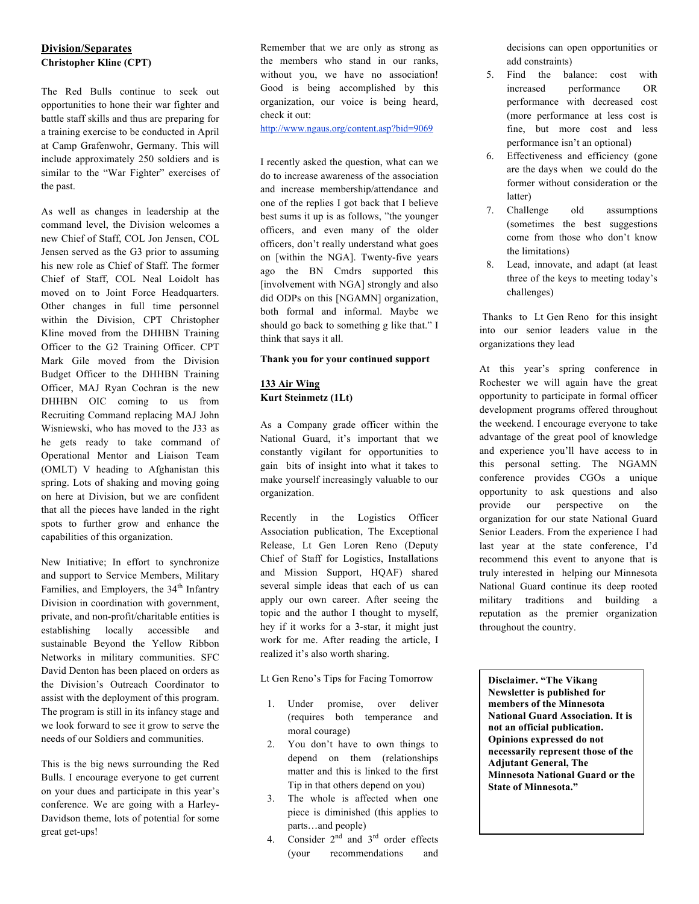# **Division/Separates Christopher Kline (CPT)**

The Red Bulls continue to seek out opportunities to hone their war fighter and battle staff skills and thus are preparing for a training exercise to be conducted in April at Camp Grafenwohr, Germany. This will include approximately 250 soldiers and is similar to the "War Fighter" exercises of the past.

As well as changes in leadership at the command level, the Division welcomes a new Chief of Staff, COL Jon Jensen, COL Jensen served as the G3 prior to assuming his new role as Chief of Staff. The former Chief of Staff, COL Neal Loidolt has moved on to Joint Force Headquarters. Other changes in full time personnel within the Division, CPT Christopher Kline moved from the DHHBN Training Officer to the G2 Training Officer. CPT Mark Gile moved from the Division Budget Officer to the DHHBN Training Officer, MAJ Ryan Cochran is the new DHHBN OIC coming to us from Recruiting Command replacing MAJ John Wisniewski, who has moved to the J33 as he gets ready to take command of Operational Mentor and Liaison Team (OMLT) V heading to Afghanistan this spring. Lots of shaking and moving going on here at Division, but we are confident that all the pieces have landed in the right spots to further grow and enhance the capabilities of this organization.

New Initiative; In effort to synchronize and support to Service Members, Military Families, and Employers, the 34<sup>th</sup> Infantry Division in coordination with government, private, and non-profit/charitable entities is establishing locally accessible and sustainable Beyond the Yellow Ribbon Networks in military communities. SFC David Denton has been placed on orders as the Division's Outreach Coordinator to assist with the deployment of this program. The program is still in its infancy stage and we look forward to see it grow to serve the needs of our Soldiers and communities.

This is the big news surrounding the Red Bulls. I encourage everyone to get current on your dues and participate in this year's conference. We are going with a Harley-Davidson theme, lots of potential for some great get-ups!

Remember that we are only as strong as the members who stand in our ranks, without you, we have no association! Good is being accomplished by this organization, our voice is being heard, check it out:

http://www.ngaus.org/content.asp?bid=9069

I recently asked the question, what can we do to increase awareness of the association and increase membership/attendance and one of the replies I got back that I believe best sums it up is as follows, "the younger officers, and even many of the older officers, don't really understand what goes on [within the NGA]. Twenty-five years ago the BN Cmdrs supported this [involvement with NGA] strongly and also did ODPs on this [NGAMN] organization, both formal and informal. Maybe we should go back to something g like that." I think that says it all.

## **Thank you for your continued support**

## **133 Air Wing Kurt Steinmetz (1Lt)**

As a Company grade officer within the National Guard, it's important that we constantly vigilant for opportunities to gain bits of insight into what it takes to make yourself increasingly valuable to our organization.

Recently in the Logistics Officer Association publication, The Exceptional Release, Lt Gen Loren Reno (Deputy Chief of Staff for Logistics, Installations and Mission Support, HQAF) shared several simple ideas that each of us can apply our own career. After seeing the topic and the author I thought to myself, hey if it works for a 3-star, it might just work for me. After reading the article, I realized it's also worth sharing.

Lt Gen Reno's Tips for Facing Tomorrow

- 1. Under promise, over deliver (requires both temperance and moral courage)
- 2. You don't have to own things to depend on them (relationships matter and this is linked to the first Tip in that others depend on you)
- 3. The whole is affected when one piece is diminished (this applies to parts…and people)
- 4. Consider  $2<sup>nd</sup>$  and  $3<sup>rd</sup>$  order effects (your recommendations and

decisions can open opportunities or add constraints)

- 5. Find the balance: cost with increased performance OR performance with decreased cost (more performance at less cost is fine, but more cost and less performance isn't an optional)
- 6. Effectiveness and efficiency (gone are the days when we could do the former without consideration or the latter)
- 7. Challenge old assumptions (sometimes the best suggestions come from those who don't know the limitations)
- 8. Lead, innovate, and adapt (at least three of the keys to meeting today's challenges)

Thanks to Lt Gen Reno for this insight into our senior leaders value in the organizations they lead

At this year's spring conference in Rochester we will again have the great opportunity to participate in formal officer development programs offered throughout the weekend. I encourage everyone to take advantage of the great pool of knowledge and experience you'll have access to in this personal setting. The NGAMN conference provides CGOs a unique opportunity to ask questions and also provide our perspective on the organization for our state National Guard Senior Leaders. From the experience I had last year at the state conference, I'd recommend this event to anyone that is truly interested in helping our Minnesota National Guard continue its deep rooted military traditions and building a reputation as the premier organization throughout the country.

**Disclaimer. "The Vikang Newsletter is published for members of the Minnesota National Guard Association. It is not an official publication. Opinions expressed do not necessarily represent those of the Adjutant General, The Minnesota National Guard or the State of Minnesota."**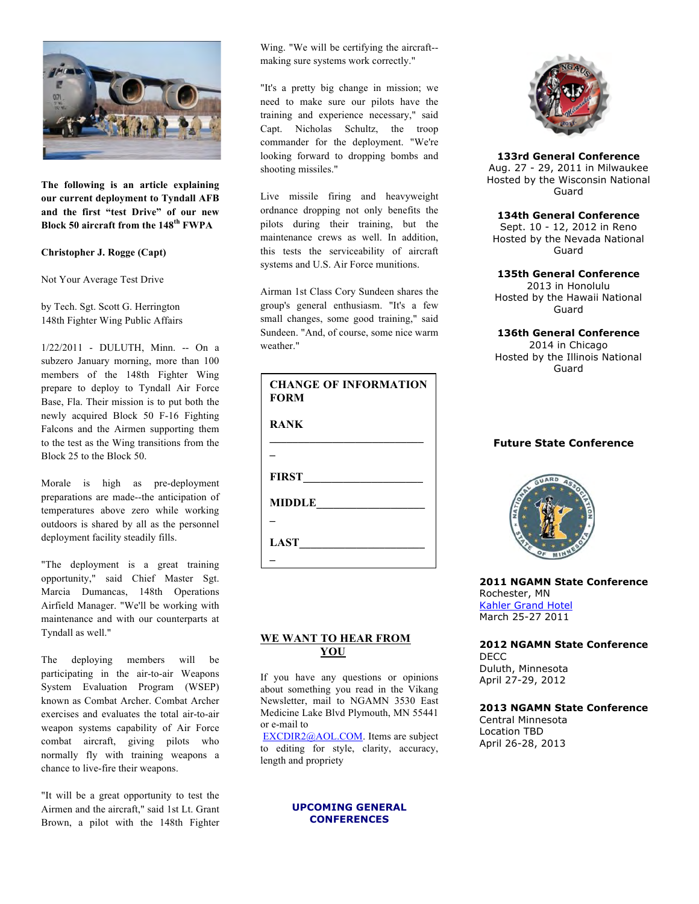

**The following is an article explaining our current deployment to Tyndall AFB and the first "test Drive" of our new Block 50 aircraft from the 148th FWPA**

**Christopher J. Rogge (Capt)**

Not Your Average Test Drive

by Tech. Sgt. Scott G. Herrington 148th Fighter Wing Public Affairs

1/22/2011 - DULUTH, Minn. -- On a subzero January morning, more than 100 members of the 148th Fighter Wing prepare to deploy to Tyndall Air Force Base, Fla. Their mission is to put both the newly acquired Block 50 F-16 Fighting Falcons and the Airmen supporting them to the test as the Wing transitions from the Block 25 to the Block 50.

Morale is high as pre-deployment preparations are made--the anticipation of temperatures above zero while working outdoors is shared by all as the personnel deployment facility steadily fills.

"The deployment is a great training opportunity," said Chief Master Sgt. Marcia Dumancas, 148th Operations Airfield Manager. "We'll be working with maintenance and with our counterparts at Tyndall as well."

The deploying members will be participating in the air-to-air Weapons System Evaluation Program (WSEP) known as Combat Archer. Combat Archer exercises and evaluates the total air-to-air weapon systems capability of Air Force combat aircraft, giving pilots who normally fly with training weapons a chance to live-fire their weapons.

"It will be a great opportunity to test the Airmen and the aircraft," said 1st Lt. Grant Brown, a pilot with the 148th Fighter Wing. "We will be certifying the aircraft- making sure systems work correctly."

"It's a pretty big change in mission; we need to make sure our pilots have the training and experience necessary," said Capt. Nicholas Schultz, the troop commander for the deployment. "We're looking forward to dropping bombs and shooting missiles."

Live missile firing and heavyweight ordnance dropping not only benefits the pilots during their training, but the maintenance crews as well. In addition, this tests the serviceability of aircraft systems and U.S. Air Force munitions.

Airman 1st Class Cory Sundeen shares the group's general enthusiasm. "It's a few small changes, some good training," said Sundeen. "And, of course, some nice warm weather."

| <b>CHANGE OF INFORMATION</b><br><b>FORM</b> |
|---------------------------------------------|
| <b>RANK</b>                                 |
|                                             |
| FIRST                                       |
| MIDDLE                                      |
|                                             |
| LAST                                        |
|                                             |

# WE WANT TO HEAR FROM  **YOU**

If you have any questions or opinions about something you read in the Vikang Newsletter, mail to NGAMN 3530 East Medicine Lake Blvd Plymouth, MN 55441 Plymouth, MN 55441or e-mail to

EXCDIR2@AOL.COM. Items are subject to editing for style, clarity, accuracy, length and propriety

# **UPCOMING GENERAL CONFERENCES**



# **133rd General Conference**

Aug. 27 - 29, 2011 in Milwaukee Hosted by the Wisconsin National Guard

# **134th General Conference**

Sept. 10 - 12, 2012 in Reno Hosted by the Nevada National Guard

## **135th General Conference**

2013 in Honolulu Hosted by the Hawaii National Guard

## **136th General Conference**

2014 in Chicago Hosted by the Illinois National Guard

# **Future State Conference**



**2011 NGAMN State Conference** Rochester, MN Kahler Grand Hotel March 25-27 2011

# **2012 NGAMN State Conference** DECC Duluth, Minnesota

April 27-29, 2012

## **2013 NGAMN State Conference**

Central Minnesota Location TBD April 26-28, 2013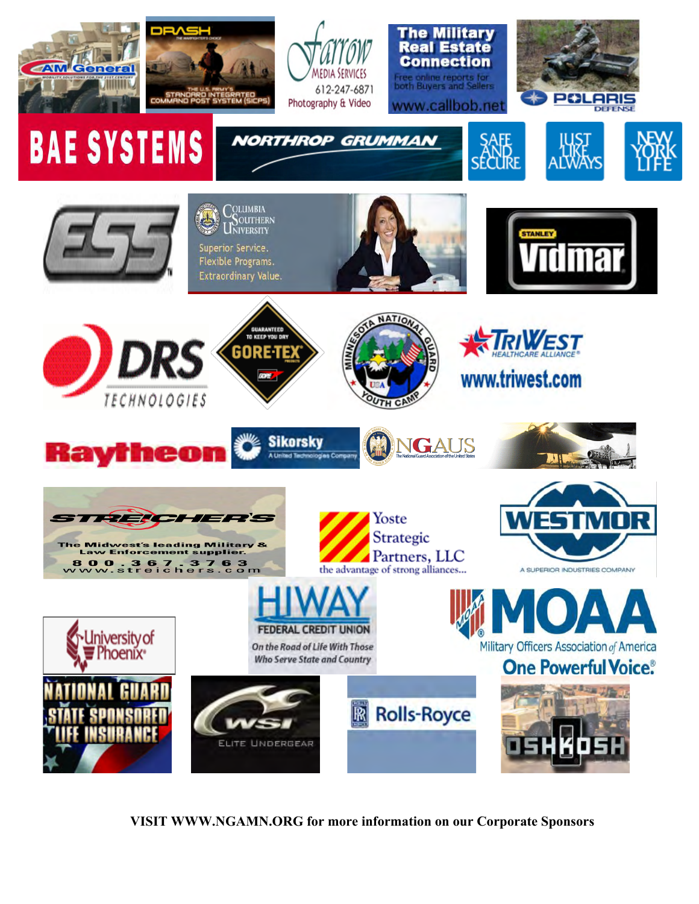

 **VISIT WWW.NGAMN.ORG for more information on our Corporate Sponsors**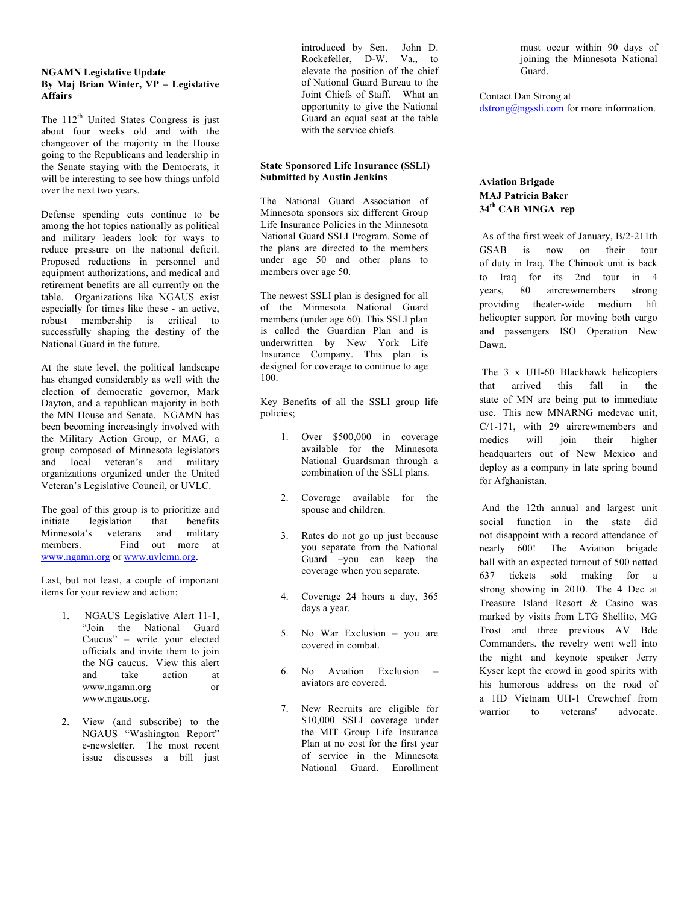## **NGAMN Legislative Update By Maj Brian Winter, VP – Legislative Affairs**

The  $112<sup>th</sup>$  United States Congress is just about four weeks old and with the changeover of the majority in the House going to the Republicans and leadership in the Senate staying with the Democrats, it will be interesting to see how things unfold over the next two years.

Defense spending cuts continue to be among the hot topics nationally as political and military leaders look for ways to reduce pressure on the national deficit. Proposed reductions in personnel and equipment authorizations, and medical and retirement benefits are all currently on the table. Organizations like NGAUS exist especially for times like these - an active, robust membership is critical to successfully shaping the destiny of the National Guard in the future.

At the state level, the political landscape has changed considerably as well with the election of democratic governor, Mark Dayton, and a republican majority in both the MN House and Senate. NGAMN has been becoming increasingly involved with the Military Action Group, or MAG, a group composed of Minnesota legislators and local veteran's and military organizations organized under the United Veteran's Legislative Council, or UVLC.

The goal of this group is to prioritize and initiate legislation that benefits Minnesota's veterans and military members. Find out more at www.ngamn.org or www.uvlcmn.org.

Last, but not least, a couple of important items for your review and action:

- 1. NGAUS Legislative Alert 11-1, "Join the National Guard Caucus" – write your elected officials and invite them to join the NG caucus. View this alert and take action at www.ngamn.org or www.ngaus.org.
- 2. View (and subscribe) to the NGAUS "Washington Report" e-newsletter. The most recent issue discusses a bill just

introduced by Sen. John D. Rockefeller, D-W. Va., to elevate the position of the chief of National Guard Bureau to the Joint Chiefs of Staff. What an opportunity to give the National Guard an equal seat at the table with the service chiefs.

## **State Sponsored Life Insurance (SSLI) Submitted by Austin Jenkins**

The National Guard Association of Minnesota sponsors six different Group Life Insurance Policies in the Minnesota National Guard SSLI Program. Some of the plans are directed to the members under age 50 and other plans to members over age 50.

The newest SSLI plan is designed for all of the Minnesota National Guard members (under age 60). This SSLI plan is called the Guardian Plan and is underwritten by New York Life Insurance Company. This plan is designed for coverage to continue to age 100.

Key Benefits of all the SSLI group life policies;

- 1. Over \$500,000 in coverage available for the Minnesota National Guardsman through a combination of the SSLI plans.
- 2. Coverage available for the spouse and children.
- 3. Rates do not go up just because you separate from the National Guard –you can keep the coverage when you separate.
- 4. Coverage 24 hours a day, 365 days a year.
- 5. No War Exclusion you are covered in combat.
- 6. No Aviation Exclusion aviators are covered.
- 7. New Recruits are eligible for \$10,000 SSLI coverage under the MIT Group Life Insurance Plan at no cost for the first year of service in the Minnesota National Guard. Enrollment

must occur within 90 days of joining the Minnesota National Guard.

Contact Dan Strong at dstrong@ngssli.com for more information.

# **Aviation Brigade MAJ Patricia Baker 34th CAB MNGA rep**

 As of the first week of January, B/2-211th GSAB is now on their tour of duty in Iraq. The Chinook unit is back to Iraq for its 2nd tour in 4 years, 80 aircrewmembers strong providing theater-wide medium lift helicopter support for moving both cargo and passengers ISO Operation New Dawn.

 The 3 x UH-60 Blackhawk helicopters that arrived this fall in the state of MN are being put to immediate use. This new MNARNG medevac unit, C/1-171, with 29 aircrewmembers and medics will join their higher headquarters out of New Mexico and deploy as a company in late spring bound for Afghanistan.

 And the 12th annual and largest unit social function in the state did not disappoint with a record attendance of nearly 600! The Aviation brigade ball with an expected turnout of 500 netted 637 tickets sold making for a strong showing in 2010. The 4 Dec at Treasure Island Resort & Casino was marked by visits from LTG Shellito, MG Trost and three previous AV Bde Commanders. the revelry went well into the night and keynote speaker Jerry Kyser kept the crowd in good spirits with his humorous address on the road of a 1ID Vietnam UH-1 Crewchief from warrior to veterans' advocate.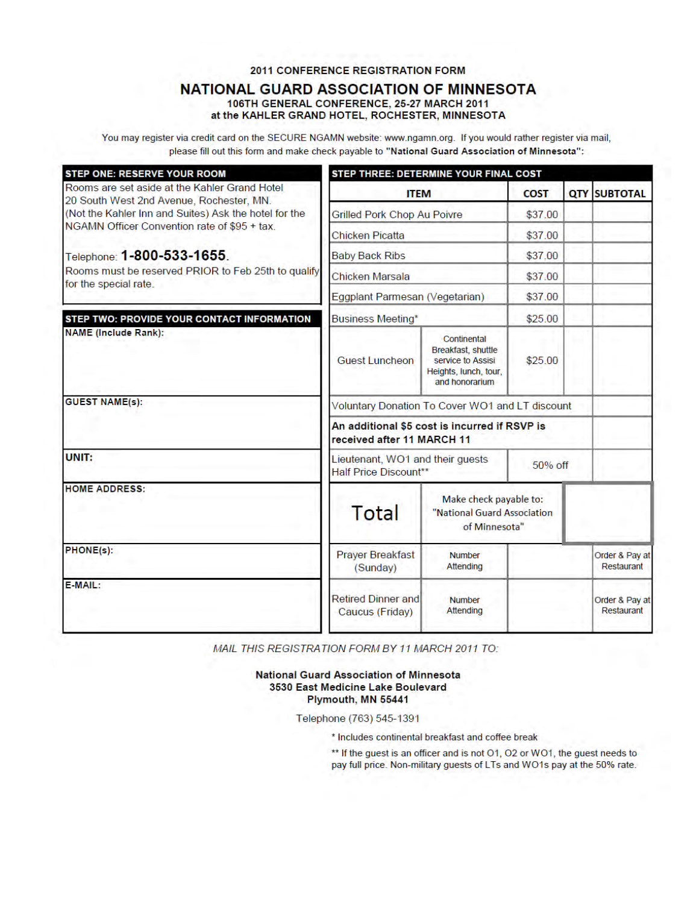# **2011 CONFERENCE REGISTRATION FORM**

# **NATIONAL GUARD ASSOCIATION OF MINNESOTA** 106TH GENERAL CONFERENCE, 25-27 MARCH 2011

at the KAHLER GRAND HOTEL, ROCHESTER, MINNESOTA

You may register via credit card on the SECURE NGAMN website: www.ngamn.org. If you would rather register via mail, please fill out this form and make check payable to "National Guard Association of Minnesota":

| <b>STEP ONE: RESERVE YOUR ROOM</b>                                                        | STEP THREE: DETERMINE YOUR FINAL COST                                           |                                                                                                   |         |                     |                              |  |  |
|-------------------------------------------------------------------------------------------|---------------------------------------------------------------------------------|---------------------------------------------------------------------------------------------------|---------|---------------------|------------------------------|--|--|
| Rooms are set aside at the Kahler Grand Hotel<br>20 South West 2nd Avenue, Rochester, MN. | <b>ITEM</b>                                                                     | <b>COST</b>                                                                                       |         | <b>QTY SUBTOTAL</b> |                              |  |  |
| (Not the Kahler Inn and Suites) Ask the hotel for the                                     | <b>Grilled Pork Chop Au Poivre</b>                                              | \$37.00                                                                                           |         |                     |                              |  |  |
| NGAMN Officer Convention rate of \$95 + tax.                                              | <b>Chicken Picatta</b>                                                          | \$37.00                                                                                           |         |                     |                              |  |  |
| Telephone: 1-800-533-1655.                                                                | <b>Baby Back Ribs</b>                                                           | \$37.00                                                                                           |         |                     |                              |  |  |
| Rooms must be reserved PRIOR to Feb 25th to qualify<br>for the special rate.              | Chicken Marsala                                                                 | \$37.00                                                                                           |         |                     |                              |  |  |
|                                                                                           | Eggplant Parmesan (Vegetarian)                                                  | \$37.00                                                                                           |         |                     |                              |  |  |
| STEP TWO: PROVIDE YOUR CONTACT INFORMATION                                                | <b>Business Meeting*</b>                                                        | \$25.00                                                                                           |         |                     |                              |  |  |
| <b>NAME (Include Rank):</b>                                                               | <b>Guest Luncheon</b>                                                           | Continental<br>Breakfast, shuttle<br>service to Assisi<br>Heights, lunch, tour,<br>and honorarium | \$25.00 |                     |                              |  |  |
| <b>GUEST NAME(s):</b>                                                                     | Voluntary Donation To Cover WO1 and LT discount                                 |                                                                                                   |         |                     |                              |  |  |
|                                                                                           | An additional \$5 cost is incurred if RSVP is<br>received after 11 MARCH 11     |                                                                                                   |         |                     |                              |  |  |
| UNIT:                                                                                     | Lieutenant, WO1 and their guests<br><b>Half Price Discount**</b>                | 50% off                                                                                           |         |                     |                              |  |  |
| <b>HOME ADDRESS:</b>                                                                      | Make check payable to:<br>Total<br>"National Guard Association<br>of Minnesota" |                                                                                                   |         |                     |                              |  |  |
| PHONE(s):                                                                                 | <b>Prayer Breakfast</b><br>(Sunday)                                             | <b>Number</b><br>Attending                                                                        |         |                     | Order & Pay at<br>Restaurant |  |  |
| E-MAIL:                                                                                   | <b>Retired Dinner and</b><br>Caucus (Friday)                                    | <b>Number</b><br>Attending                                                                        |         |                     | Order & Pay at<br>Restaurant |  |  |

MAIL THIS REGISTRATION FORM BY 11 MARCH 2011 TO:

## **National Guard Association of Minnesota** 3530 East Medicine Lake Boulevard Plymouth, MN 55441

Telephone (763) 545-1391

\* Includes continental breakfast and coffee break

\*\* If the guest is an officer and is not O1, O2 or WO1, the guest needs to pay full price. Non-military guests of LTs and WO1s pay at the 50% rate.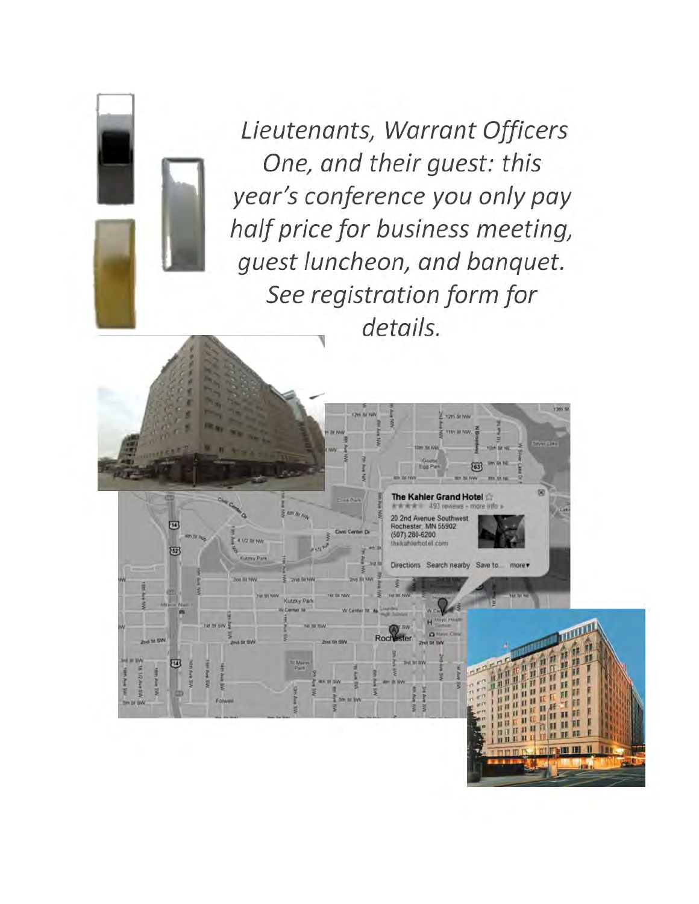Lieutenants, Warrant Officers One, and their guest: this year's conference you only pay half price for business meeting, guest luncheon, and banquet. See registration form for details.

**T2th St NW** 

The Kahler Grand Hotel

Directions Search nearby Save to

and Avenue Southwe<br>Rochester, MN 55902<br>(507) 280-6200<br>Instanto 6200

Rod

**KELBA** 

四

 $\sqrt{52}$ 

冠